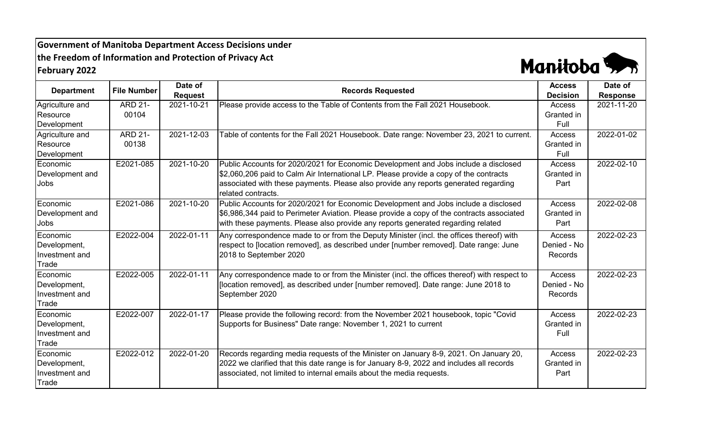## **Government of Manitoba Department Access Decisions under the Freedom of Information and Protection of Privacy Act February 2022**



| <b>Department</b>                                   | <b>File Number</b>      | Date of<br><b>Request</b> | <b>Records Requested</b>                                                                                                                                                                                                                                                                  | <b>Access</b><br><b>Decision</b>        | Date of<br><b>Response</b> |
|-----------------------------------------------------|-------------------------|---------------------------|-------------------------------------------------------------------------------------------------------------------------------------------------------------------------------------------------------------------------------------------------------------------------------------------|-----------------------------------------|----------------------------|
| Agriculture and<br>Resource<br>Development          | <b>ARD 21-</b><br>00104 | 2021-10-21                | Please provide access to the Table of Contents from the Fall 2021 Housebook.                                                                                                                                                                                                              | Access<br>Granted in<br>Full            | 2021-11-20                 |
| Agriculture and<br>Resource<br>Development          | <b>ARD 21-</b><br>00138 | 2021-12-03                | Table of contents for the Fall 2021 Housebook. Date range: November 23, 2021 to current.                                                                                                                                                                                                  | <b>Access</b><br>Granted in<br>Full     | 2022-01-02                 |
| Economic<br>Development and<br>Jobs                 | E2021-085               | 2021-10-20                | Public Accounts for 2020/2021 for Economic Development and Jobs include a disclosed<br>\$2,060,206 paid to Calm Air International LP. Please provide a copy of the contracts<br>associated with these payments. Please also provide any reports generated regarding<br>related contracts. | Access<br>Granted in<br>Part            | 2022-02-10                 |
| Economic<br>Development and<br>Jobs                 | E2021-086               | 2021-10-20                | Public Accounts for 2020/2021 for Economic Development and Jobs include a disclosed<br>\$6,986,344 paid to Perimeter Aviation. Please provide a copy of the contracts associated<br>with these payments. Please also provide any reports generated regarding related                      | Access<br>Granted in<br>Part            | 2022-02-08                 |
| Economic<br>Development,<br>Investment and<br>Trade | E2022-004               | 2022-01-11                | Any correspondence made to or from the Deputy Minister (incl. the offices thereof) with<br>respect to [location removed], as described under [number removed]. Date range: June<br>2018 to September 2020                                                                                 | <b>Access</b><br>Denied - No<br>Records | 2022-02-23                 |
| Economic<br>Development,<br>Investment and<br>Trade | E2022-005               | 2022-01-11                | Any correspondence made to or from the Minister (incl. the offices thereof) with respect to<br>[location removed], as described under [number removed]. Date range: June 2018 to<br>September 2020                                                                                        | <b>Access</b><br>Denied - No<br>Records | 2022-02-23                 |
| Economic<br>Development,<br>Investment and<br>Trade | E2022-007               | 2022-01-17                | Please provide the following record: from the November 2021 housebook, topic "Covid<br>Supports for Business" Date range: November 1, 2021 to current                                                                                                                                     | Access<br>Granted in<br>Full            | 2022-02-23                 |
| Economic<br>Development,<br>Investment and<br>Trade | E2022-012               | 2022-01-20                | Records regarding media requests of the Minister on January 8-9, 2021. On January 20,<br>2022 we clarified that this date range is for January 8-9, 2022 and includes all records<br>associated, not limited to internal emails about the media requests.                                 | Access<br>Granted in<br>Part            | 2022-02-23                 |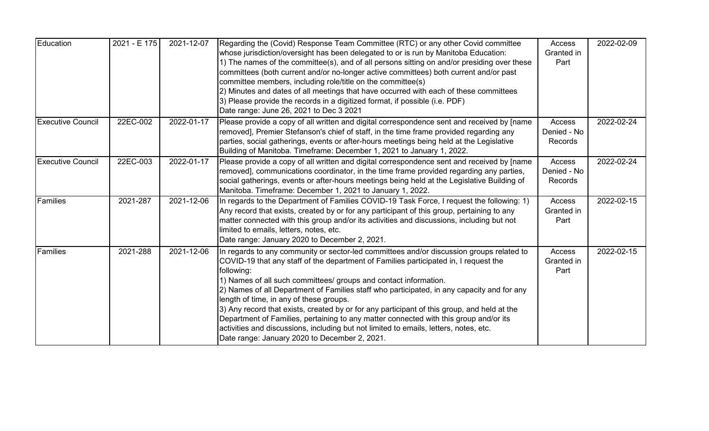| Education                | 2021 - E 175 | 2021-12-07 | Regarding the (Covid) Response Team Committee (RTC) or any other Covid committee<br>whose jurisdiction/oversight has been delegated to or is run by Manitoba Education:<br>1) The names of the committee(s), and of all persons sitting on and/or presiding over these<br>committees (both current and/or no-longer active committees) both current and/or past<br>committee members, including role/title on the committee(s)<br>2) Minutes and dates of all meetings that have occurred with each of these committees<br>3) Please provide the records in a digitized format, if possible (i.e. PDF)<br>Date range: June 26, 2021 to Dec 3 2021                                                                                             | <b>Access</b><br>Granted in<br>Part | 2022-02-09 |
|--------------------------|--------------|------------|-----------------------------------------------------------------------------------------------------------------------------------------------------------------------------------------------------------------------------------------------------------------------------------------------------------------------------------------------------------------------------------------------------------------------------------------------------------------------------------------------------------------------------------------------------------------------------------------------------------------------------------------------------------------------------------------------------------------------------------------------|-------------------------------------|------------|
| <b>Executive Council</b> | 22EC-002     | 2022-01-17 | Please provide a copy of all written and digital correspondence sent and received by [name<br>removed], Premier Stefanson's chief of staff, in the time frame provided regarding any<br>parties, social gatherings, events or after-hours meetings being held at the Legislative<br>Building of Manitoba. Timeframe: December 1, 2021 to January 1, 2022.                                                                                                                                                                                                                                                                                                                                                                                     | Access<br>Denied - No<br>Records    | 2022-02-24 |
| <b>Executive Council</b> | 22EC-003     | 2022-01-17 | Please provide a copy of all written and digital correspondence sent and received by [name<br>removed], communications coordinator, in the time frame provided regarding any parties,<br>social gatherings, events or after-hours meetings being held at the Legislative Building of<br>Manitoba. Timeframe: December 1, 2021 to January 1, 2022.                                                                                                                                                                                                                                                                                                                                                                                             | Access<br>Denied - No<br>Records    | 2022-02-24 |
| Families                 | 2021-287     | 2021-12-06 | In regards to the Department of Families COVID-19 Task Force, I request the following: 1)<br>Any record that exists, created by or for any participant of this group, pertaining to any<br>matter connected with this group and/or its activities and discussions, including but not<br>limited to emails, letters, notes, etc.<br>Date range: January 2020 to December 2, 2021.                                                                                                                                                                                                                                                                                                                                                              | Access<br>Granted in<br>Part        | 2022-02-15 |
| Families                 | 2021-288     | 2021-12-06 | In regards to any community or sector-led committees and/or discussion groups related to<br>COVID-19 that any staff of the department of Families participated in, I request the<br>following:<br>1) Names of all such committees/ groups and contact information.<br>2) Names of all Department of Families staff who participated, in any capacity and for any<br>length of time, in any of these groups.<br>3) Any record that exists, created by or for any participant of this group, and held at the<br>Department of Families, pertaining to any matter connected with this group and/or its<br>activities and discussions, including but not limited to emails, letters, notes, etc.<br>Date range: January 2020 to December 2, 2021. | Access<br>Granted in<br>Part        | 2022-02-15 |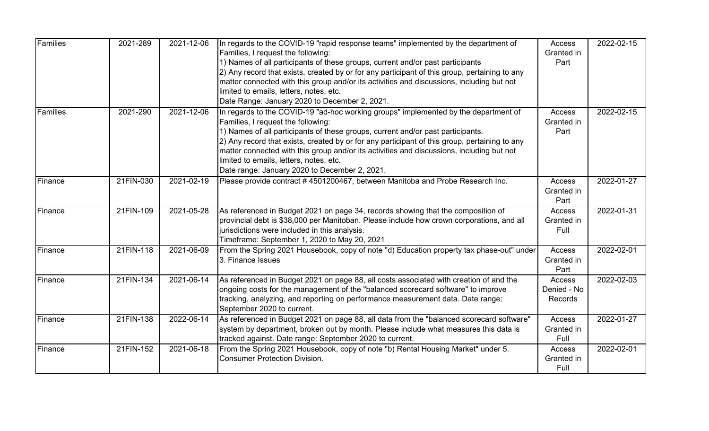| Families | 2021-289  | 2021-12-06 | In regards to the COVID-19 "rapid response teams" implemented by the department of<br>Families, I request the following:<br>1) Names of all participants of these groups, current and/or past participants<br>2) Any record that exists, created by or for any participant of this group, pertaining to any<br>matter connected with this group and/or its activities and discussions, including but not<br>limited to emails, letters, notes, etc.<br>Date Range: January 2020 to December 2, 2021.   | Access<br>Granted in<br>Part            | 2022-02-15 |
|----------|-----------|------------|--------------------------------------------------------------------------------------------------------------------------------------------------------------------------------------------------------------------------------------------------------------------------------------------------------------------------------------------------------------------------------------------------------------------------------------------------------------------------------------------------------|-----------------------------------------|------------|
| Families | 2021-290  | 2021-12-06 | In regards to the COVID-19 "ad-hoc working groups" implemented by the department of<br>Families, I request the following:<br>1) Names of all participants of these groups, current and/or past participants.<br>2) Any record that exists, created by or for any participant of this group, pertaining to any<br>matter connected with this group and/or its activities and discussions, including but not<br>limited to emails, letters, notes, etc.<br>Date range: January 2020 to December 2, 2021. | Access<br>Granted in<br>Part            | 2022-02-15 |
| Finance  | 21FIN-030 | 2021-02-19 | Please provide contract # 4501200467, between Manitoba and Probe Research Inc.                                                                                                                                                                                                                                                                                                                                                                                                                         | Access<br>Granted in<br>Part            | 2022-01-27 |
| Finance  | 21FIN-109 | 2021-05-28 | As referenced in Budget 2021 on page 34, records showing that the composition of<br>provincial debt is \$38,000 per Manitoban. Please include how crown corporations, and all<br>jurisdictions were included in this analysis.<br>Timeframe: September 1, 2020 to May 20, 2021                                                                                                                                                                                                                         | Access<br>Granted in<br>Full            | 2022-01-31 |
| Finance  | 21FIN-118 | 2021-06-09 | From the Spring 2021 Housebook, copy of note "d) Education property tax phase-out" under<br>3. Finance Issues                                                                                                                                                                                                                                                                                                                                                                                          | Access<br>Granted in<br>Part            | 2022-02-01 |
| Finance  | 21FIN-134 | 2021-06-14 | As referenced in Budget 2021 on page 88, all costs associated with creation of and the<br>ongoing costs for the management of the "balanced scorecard software" to improve<br>tracking, analyzing, and reporting on performance measurement data. Date range:<br>September 2020 to current.                                                                                                                                                                                                            | Access<br>Denied - No<br><b>Records</b> | 2022-02-03 |
| Finance  | 21FIN-138 | 2022-06-14 | As referenced in Budget 2021 on page 88, all data from the "balanced scorecard software"<br>system by department, broken out by month. Please include what measures this data is<br>tracked against. Date range: September 2020 to current.                                                                                                                                                                                                                                                            | Access<br>Granted in<br>Full            | 2022-01-27 |
| Finance  | 21FIN-152 | 2021-06-18 | From the Spring 2021 Housebook, copy of note "b) Rental Housing Market" under 5.<br><b>Consumer Protection Division.</b>                                                                                                                                                                                                                                                                                                                                                                               | Access<br>Granted in<br>Full            | 2022-02-01 |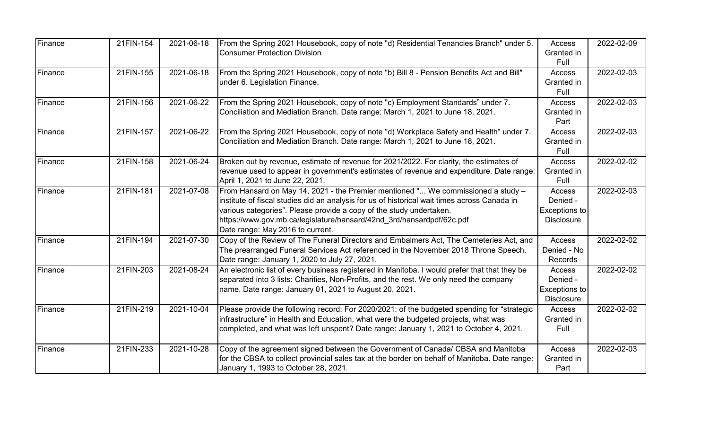| Finance | 21FIN-154 | 2021-06-18 | From the Spring 2021 Housebook, copy of note "d) Residential Tenancies Branch" under 5.<br><b>Consumer Protection Division</b>                                                                                                                                                                                                                                       | Access<br>Granted in<br>Full                             | 2022-02-09 |
|---------|-----------|------------|----------------------------------------------------------------------------------------------------------------------------------------------------------------------------------------------------------------------------------------------------------------------------------------------------------------------------------------------------------------------|----------------------------------------------------------|------------|
| Finance | 21FIN-155 | 2021-06-18 | From the Spring 2021 Housebook, copy of note "b) Bill 8 - Pension Benefits Act and Bill"<br>under 6. Legislation Finance.                                                                                                                                                                                                                                            | Access<br>Granted in<br>Full                             | 2022-02-03 |
| Finance | 21FIN-156 | 2021-06-22 | From the Spring 2021 Housebook, copy of note "c) Employment Standards" under 7.<br>Conciliation and Mediation Branch. Date range: March 1, 2021 to June 18, 2021.                                                                                                                                                                                                    | Access<br>Granted in<br>Part                             | 2022-02-03 |
| Finance | 21FIN-157 | 2021-06-22 | From the Spring 2021 Housebook, copy of note "d) Workplace Safety and Health" under 7.<br>Conciliation and Mediation Branch. Date range: March 1, 2021 to June 18, 2021.                                                                                                                                                                                             | Access<br>Granted in<br>Full                             | 2022-02-03 |
| Finance | 21FIN-158 | 2021-06-24 | Broken out by revenue, estimate of revenue for 2021/2022. For clarity, the estimates of<br>revenue used to appear in government's estimates of revenue and expenditure. Date range:<br>April 1, 2021 to June 22, 2021.                                                                                                                                               | Access<br>Granted in<br>Full                             | 2022-02-02 |
| Finance | 21FIN-181 | 2021-07-08 | From Hansard on May 14, 2021 - the Premier mentioned " We commissioned a study -<br>institute of fiscal studies did an analysis for us of historical wait times across Canada in<br>various categories". Please provide a copy of the study undertaken.<br>https://www.gov.mb.ca/legislature/hansard/42nd 3rd/hansardpdf/62c.pdf<br>Date range: May 2016 to current. | Access<br>Denied -<br>Exceptions to<br><b>Disclosure</b> | 2022-02-03 |
| Finance | 21FIN-194 | 2021-07-30 | Copy of the Review of The Funeral Directors and Embalmers Act, The Cemeteries Act, and<br>The prearranged Funeral Services Act referenced in the November 2018 Throne Speech.<br>Date range: January 1, 2020 to July 27, 2021.                                                                                                                                       | Access<br>Denied - No<br>Records                         | 2022-02-02 |
| Finance | 21FIN-203 | 2021-08-24 | An electronic list of every business registered in Manitoba. I would prefer that that they be<br>separated into 3 lists: Charities, Non-Profits, and the rest. We only need the company<br>name. Date range: January 01, 2021 to August 20, 2021.                                                                                                                    | Access<br>Denied -<br>Exceptions to<br><b>Disclosure</b> | 2022-02-02 |
| Finance | 21FIN-219 | 2021-10-04 | Please provide the following record: For 2020/2021: of the budgeted spending for "strategic<br>infrastructure" in Health and Education, what were the budgeted projects, what was<br>completed, and what was left unspent? Date range: January 1, 2021 to October 4, 2021.                                                                                           | Access<br>Granted in<br>Full                             | 2022-02-02 |
| Finance | 21FIN-233 | 2021-10-28 | Copy of the agreement signed between the Government of Canada/ CBSA and Manitoba<br>for the CBSA to collect provincial sales tax at the border on behalf of Manitoba. Date range:<br>January 1, 1993 to October 28, 2021.                                                                                                                                            | Access<br>Granted in<br>Part                             | 2022-02-03 |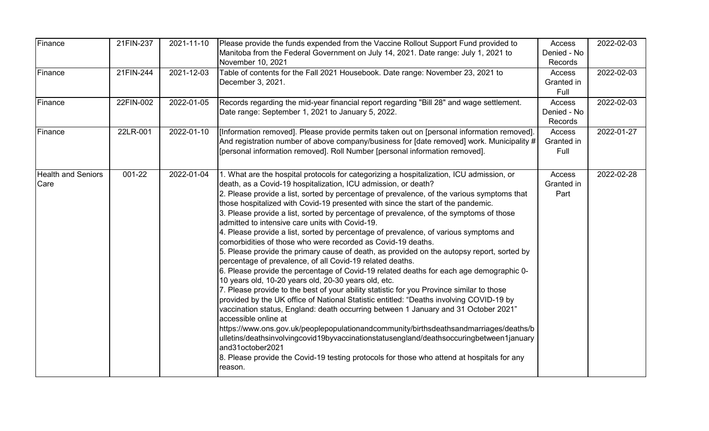| Finance                           | 21FIN-237 | 2021-11-10 | Please provide the funds expended from the Vaccine Rollout Support Fund provided to<br>Manitoba from the Federal Government on July 14, 2021. Date range: July 1, 2021 to<br>November 10, 2021                                                                                                                                                                                                                                                                                                                                                                                                                                                                                                                                                                                                                                                                                                                                                                                                                                                                                                                                                                                                                                                                                                                                                                                                                                                                                                                                                                                           | Access<br>Denied - No<br>Records | 2022-02-03 |
|-----------------------------------|-----------|------------|------------------------------------------------------------------------------------------------------------------------------------------------------------------------------------------------------------------------------------------------------------------------------------------------------------------------------------------------------------------------------------------------------------------------------------------------------------------------------------------------------------------------------------------------------------------------------------------------------------------------------------------------------------------------------------------------------------------------------------------------------------------------------------------------------------------------------------------------------------------------------------------------------------------------------------------------------------------------------------------------------------------------------------------------------------------------------------------------------------------------------------------------------------------------------------------------------------------------------------------------------------------------------------------------------------------------------------------------------------------------------------------------------------------------------------------------------------------------------------------------------------------------------------------------------------------------------------------|----------------------------------|------------|
| Finance                           | 21FIN-244 | 2021-12-03 | Table of contents for the Fall 2021 Housebook. Date range: November 23, 2021 to<br>December 3, 2021.                                                                                                                                                                                                                                                                                                                                                                                                                                                                                                                                                                                                                                                                                                                                                                                                                                                                                                                                                                                                                                                                                                                                                                                                                                                                                                                                                                                                                                                                                     | Access<br>Granted in<br>Full     | 2022-02-03 |
| Finance                           | 22FIN-002 | 2022-01-05 | Records regarding the mid-year financial report regarding "Bill 28" and wage settlement.<br>Date range: September 1, 2021 to January 5, 2022.                                                                                                                                                                                                                                                                                                                                                                                                                                                                                                                                                                                                                                                                                                                                                                                                                                                                                                                                                                                                                                                                                                                                                                                                                                                                                                                                                                                                                                            | Access<br>Denied - No<br>Records | 2022-02-03 |
| Finance                           | 22LR-001  | 2022-01-10 | [Information removed]. Please provide permits taken out on [personal information removed].<br>And registration number of above company/business for [date removed] work. Municipality #<br>[personal information removed]. Roll Number [personal information removed].                                                                                                                                                                                                                                                                                                                                                                                                                                                                                                                                                                                                                                                                                                                                                                                                                                                                                                                                                                                                                                                                                                                                                                                                                                                                                                                   | Access<br>Granted in<br>Full     | 2022-01-27 |
| <b>Health and Seniors</b><br>Care | 001-22    | 2022-01-04 | 1. What are the hospital protocols for categorizing a hospitalization, ICU admission, or<br>death, as a Covid-19 hospitalization, ICU admission, or death?<br>2. Please provide a list, sorted by percentage of prevalence, of the various symptoms that<br>those hospitalized with Covid-19 presented with since the start of the pandemic.<br>3. Please provide a list, sorted by percentage of prevalence, of the symptoms of those<br>admitted to intensive care units with Covid-19.<br>4. Please provide a list, sorted by percentage of prevalence, of various symptoms and<br>comorbidities of those who were recorded as Covid-19 deaths.<br>5. Please provide the primary cause of death, as provided on the autopsy report, sorted by<br>percentage of prevalence, of all Covid-19 related deaths.<br>6. Please provide the percentage of Covid-19 related deaths for each age demographic 0-<br>10 years old, 10-20 years old, 20-30 years old, etc.<br>7. Please provide to the best of your ability statistic for you Province similar to those<br>provided by the UK office of National Statistic entitled: "Deaths involving COVID-19 by<br>vaccination status, England: death occurring between 1 January and 31 October 2021"<br>accessible online at<br>https://www.ons.gov.uk/peoplepopulationandcommunity/birthsdeathsandmarriages/deaths/b<br>ulletins/deathsinvolvingcovid19byvaccinationstatusengland/deathsoccuringbetween1january<br>and31october2021<br>8. Please provide the Covid-19 testing protocols for those who attend at hospitals for any<br>reason. | Access<br>Granted in<br>Part     | 2022-02-28 |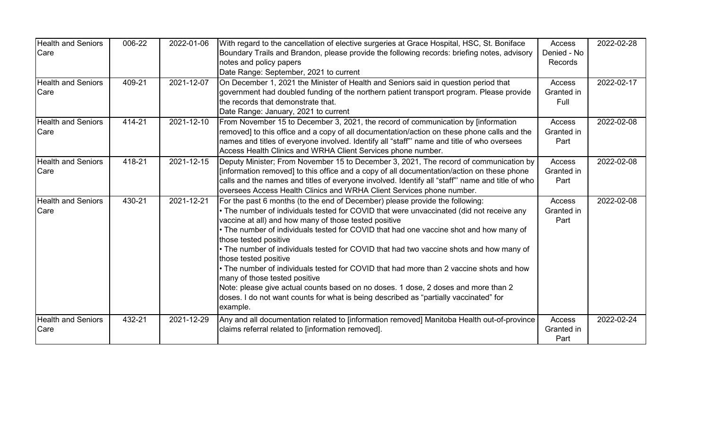| <b>Health and Seniors</b> | 006-22 | 2022-01-06 | With regard to the cancellation of elective surgeries at Grace Hospital, HSC, St. Boniface                       | Access         | 2022-02-28 |
|---------------------------|--------|------------|------------------------------------------------------------------------------------------------------------------|----------------|------------|
| Care                      |        |            | Boundary Trails and Brandon, please provide the following records: briefing notes, advisory                      | Denied - No    |            |
|                           |        |            | notes and policy papers                                                                                          | <b>Records</b> |            |
|                           |        |            | Date Range: September, 2021 to current                                                                           |                |            |
| <b>Health and Seniors</b> | 409-21 | 2021-12-07 | On December 1, 2021 the Minister of Health and Seniors said in question period that                              | Access         | 2022-02-17 |
| Care                      |        |            | government had doubled funding of the northern patient transport program. Please provide                         | Granted in     |            |
|                           |        |            | Ithe records that demonstrate that.                                                                              | Full           |            |
|                           |        |            | Date Range: January, 2021 to current                                                                             |                |            |
| <b>Health and Seniors</b> | 414-21 | 2021-12-10 | From November 15 to December 3, 2021, the record of communication by [information                                | Access         | 2022-02-08 |
| Care                      |        |            | removed] to this office and a copy of all documentation/action on these phone calls and the                      | Granted in     |            |
|                           |        |            | names and titles of everyone involved. Identify all "staff" name and title of who oversees                       | Part           |            |
|                           |        |            | Access Health Clinics and WRHA Client Services phone number.                                                     |                |            |
| <b>Health and Seniors</b> | 418-21 | 2021-12-15 | Deputy Minister; From November 15 to December 3, 2021, The record of communication by                            | Access         | 2022-02-08 |
| Care                      |        |            | [information removed] to this office and a copy of all documentation/action on these phone                       | Granted in     |            |
|                           |        |            | calls and the names and titles of everyone involved. Identify all "staff" name and title of who                  | Part           |            |
|                           |        |            | oversees Access Health Clinics and WRHA Client Services phone number.                                            |                |            |
| <b>Health and Seniors</b> | 430-21 | 2021-12-21 | For the past 6 months (to the end of December) please provide the following:                                     | Access         | 2022-02-08 |
| Care                      |        |            | • The number of individuals tested for COVID that were unvaccinated (did not receive any                         | Granted in     |            |
|                           |        |            | vaccine at all) and how many of those tested positive                                                            | Part           |            |
|                           |        |            | • The number of individuals tested for COVID that had one vaccine shot and how many of<br>those tested positive  |                |            |
|                           |        |            | • The number of individuals tested for COVID that had two vaccine shots and how many of<br>those tested positive |                |            |
|                           |        |            | • The number of individuals tested for COVID that had more than 2 vaccine shots and how                          |                |            |
|                           |        |            | many of those tested positive                                                                                    |                |            |
|                           |        |            | Note: please give actual counts based on no doses. 1 dose, 2 doses and more than 2                               |                |            |
|                           |        |            | doses. I do not want counts for what is being described as "partially vaccinated" for                            |                |            |
|                           |        |            | example.                                                                                                         |                |            |
| <b>Health and Seniors</b> | 432-21 | 2021-12-29 | Any and all documentation related to [information removed] Manitoba Health out-of-province                       | Access         | 2022-02-24 |
| Care                      |        |            | claims referral related to [information removed].                                                                | Granted in     |            |
|                           |        |            |                                                                                                                  | Part           |            |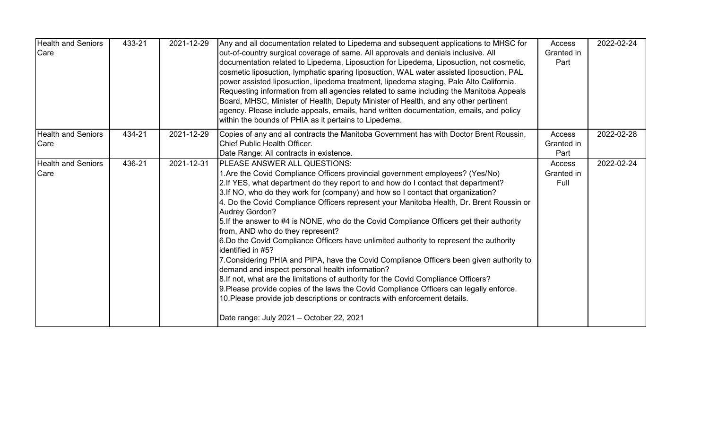| <b>Health and Seniors</b><br>Care | 433-21 | 2021-12-29 | Any and all documentation related to Lipedema and subsequent applications to MHSC for<br>out-of-country surgical coverage of same. All approvals and denials inclusive. All<br>documentation related to Lipedema, Liposuction for Lipedema, Liposuction, not cosmetic,<br>cosmetic liposuction, lymphatic sparing liposuction, WAL water assisted liposuction, PAL<br>power assisted liposuction, lipedema treatment, lipedema staging, Palo Alto California.<br>Requesting information from all agencies related to same including the Manitoba Appeals<br>Board, MHSC, Minister of Health, Deputy Minister of Health, and any other pertinent<br>agency. Please include appeals, emails, hand written documentation, emails, and policy<br>within the bounds of PHIA as it pertains to Lipedema.                                                                                                                                                                                                                                                                                                                   | Access<br>Granted in<br>Part | 2022-02-24 |
|-----------------------------------|--------|------------|----------------------------------------------------------------------------------------------------------------------------------------------------------------------------------------------------------------------------------------------------------------------------------------------------------------------------------------------------------------------------------------------------------------------------------------------------------------------------------------------------------------------------------------------------------------------------------------------------------------------------------------------------------------------------------------------------------------------------------------------------------------------------------------------------------------------------------------------------------------------------------------------------------------------------------------------------------------------------------------------------------------------------------------------------------------------------------------------------------------------|------------------------------|------------|
| <b>Health and Seniors</b><br>Care | 434-21 | 2021-12-29 | Copies of any and all contracts the Manitoba Government has with Doctor Brent Roussin,<br>Chief Public Health Officer.<br>Date Range: All contracts in existence.                                                                                                                                                                                                                                                                                                                                                                                                                                                                                                                                                                                                                                                                                                                                                                                                                                                                                                                                                    | Access<br>Granted in<br>Part | 2022-02-28 |
| <b>Health and Seniors</b><br>Care | 436-21 | 2021-12-31 | PLEASE ANSWER ALL QUESTIONS:<br>1. Are the Covid Compliance Officers provincial government employees? (Yes/No)<br>2.If YES, what department do they report to and how do I contact that department?<br>3.If NO, who do they work for (company) and how so I contact that organization?<br>4. Do the Covid Compliance Officers represent your Manitoba Health, Dr. Brent Roussin or<br><b>Audrey Gordon?</b><br>5. If the answer to #4 is NONE, who do the Covid Compliance Officers get their authority<br>from, AND who do they represent?<br>6.Do the Covid Compliance Officers have unlimited authority to represent the authority<br>identified in #5?<br>7. Considering PHIA and PIPA, have the Covid Compliance Officers been given authority to<br>demand and inspect personal health information?<br>8.If not, what are the limitations of authority for the Covid Compliance Officers?<br>9. Please provide copies of the laws the Covid Compliance Officers can legally enforce.<br>10. Please provide job descriptions or contracts with enforcement details.<br>Date range: July 2021 - October 22, 2021 | Access<br>Granted in<br>Full | 2022-02-24 |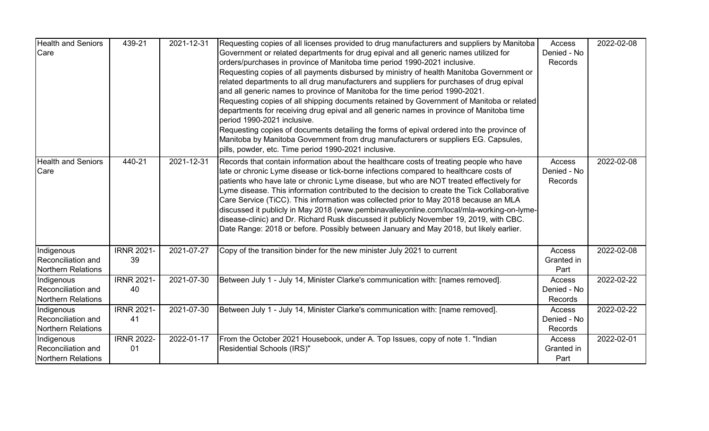| <b>Health and Seniors</b><br>Care                             | 439-21                  | 2021-12-31 | Requesting copies of all licenses provided to drug manufacturers and suppliers by Manitoba<br>Government or related departments for drug epival and all generic names utilized for<br>orders/purchases in province of Manitoba time period 1990-2021 inclusive.<br>Requesting copies of all payments disbursed by ministry of health Manitoba Government or<br>related departments to all drug manufacturers and suppliers for purchases of drug epival<br>and all generic names to province of Manitoba for the time period 1990-2021.<br>Requesting copies of all shipping documents retained by Government of Manitoba or related<br>departments for receiving drug epival and all generic names in province of Manitoba time<br>period 1990-2021 inclusive.<br>Requesting copies of documents detailing the forms of epival ordered into the province of<br>Manitoba by Manitoba Government from drug manufacturers or suppliers EG. Capsules,<br>pills, powder, etc. Time period 1990-2021 inclusive. | Access<br>Denied - No<br>Records        | 2022-02-08 |
|---------------------------------------------------------------|-------------------------|------------|------------------------------------------------------------------------------------------------------------------------------------------------------------------------------------------------------------------------------------------------------------------------------------------------------------------------------------------------------------------------------------------------------------------------------------------------------------------------------------------------------------------------------------------------------------------------------------------------------------------------------------------------------------------------------------------------------------------------------------------------------------------------------------------------------------------------------------------------------------------------------------------------------------------------------------------------------------------------------------------------------------|-----------------------------------------|------------|
| <b>Health and Seniors</b><br>Care                             | 440-21                  | 2021-12-31 | Records that contain information about the healthcare costs of treating people who have<br>late or chronic Lyme disease or tick-borne infections compared to healthcare costs of<br>patients who have late or chronic Lyme disease, but who are NOT treated effectively for<br>Lyme disease. This information contributed to the decision to create the Tick Collaborative<br>Care Service (TiCC). This information was collected prior to May 2018 because an MLA<br>discussed it publicly in May 2018 (www.pembinavalleyonline.com/local/mla-working-on-lyme-<br>disease-clinic) and Dr. Richard Rusk discussed it publicly November 19, 2019, with CBC.<br>Date Range: 2018 or before. Possibly between January and May 2018, but likely earlier.                                                                                                                                                                                                                                                       | Access<br>Denied - No<br>Records        | 2022-02-08 |
| Indigenous<br>Reconciliation and<br><b>Northern Relations</b> | <b>IRNR 2021-</b><br>39 | 2021-07-27 | Copy of the transition binder for the new minister July 2021 to current                                                                                                                                                                                                                                                                                                                                                                                                                                                                                                                                                                                                                                                                                                                                                                                                                                                                                                                                    | Access<br>Granted in<br>Part            | 2022-02-08 |
| Indigenous<br>Reconciliation and<br><b>Northern Relations</b> | <b>IRNR 2021-</b><br>40 | 2021-07-30 | Between July 1 - July 14, Minister Clarke's communication with: [names removed].                                                                                                                                                                                                                                                                                                                                                                                                                                                                                                                                                                                                                                                                                                                                                                                                                                                                                                                           | <b>Access</b><br>Denied - No<br>Records | 2022-02-22 |
| Indigenous<br>Reconciliation and<br><b>Northern Relations</b> | <b>IRNR 2021-</b><br>41 | 2021-07-30 | Between July 1 - July 14, Minister Clarke's communication with: [name removed].                                                                                                                                                                                                                                                                                                                                                                                                                                                                                                                                                                                                                                                                                                                                                                                                                                                                                                                            | Access<br>Denied - No<br>Records        | 2022-02-22 |
| Indigenous<br>Reconciliation and<br><b>Northern Relations</b> | <b>IRNR 2022-</b><br>01 | 2022-01-17 | From the October 2021 Housebook, under A. Top Issues, copy of note 1. "Indian<br>Residential Schools (IRS)"                                                                                                                                                                                                                                                                                                                                                                                                                                                                                                                                                                                                                                                                                                                                                                                                                                                                                                | Access<br>Granted in<br>Part            | 2022-02-01 |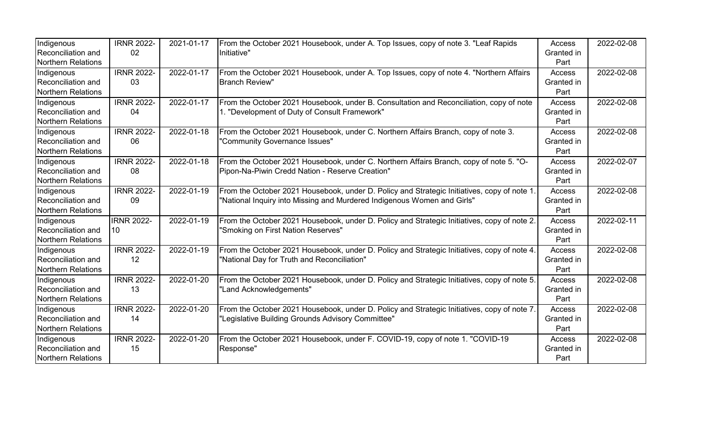| Indigenous                | <b>IRNR 2022-</b> | 2021-01-17 | From the October 2021 Housebook, under A. Top Issues, copy of note 3. "Leaf Rapids          | Access        | 2022-02-08 |
|---------------------------|-------------------|------------|---------------------------------------------------------------------------------------------|---------------|------------|
| Reconciliation and        | 02                |            | Initiative"                                                                                 | Granted in    |            |
| <b>Northern Relations</b> |                   |            |                                                                                             | Part          |            |
| Indigenous                | <b>IRNR 2022-</b> | 2022-01-17 | From the October 2021 Housebook, under A. Top Issues, copy of note 4. "Northern Affairs"    | Access        | 2022-02-08 |
| Reconciliation and        | 03                |            | <b>Branch Review"</b>                                                                       | Granted in    |            |
| <b>Northern Relations</b> |                   |            |                                                                                             | Part          |            |
| Indigenous                | <b>IRNR 2022-</b> | 2022-01-17 | From the October 2021 Housebook, under B. Consultation and Reconciliation, copy of note     | Access        | 2022-02-08 |
| Reconciliation and        | 04                |            | 1. "Development of Duty of Consult Framework"                                               | Granted in    |            |
| Northern Relations        |                   |            |                                                                                             | Part          |            |
| Indigenous                | <b>IRNR 2022-</b> | 2022-01-18 | From the October 2021 Housebook, under C. Northern Affairs Branch, copy of note 3.          | <b>Access</b> | 2022-02-08 |
| Reconciliation and        | 06                |            | "Community Governance Issues"                                                               | Granted in    |            |
| <b>Northern Relations</b> |                   |            |                                                                                             | Part          |            |
| Indigenous                | <b>IRNR 2022-</b> | 2022-01-18 | From the October 2021 Housebook, under C. Northern Affairs Branch, copy of note 5. "O-      | <b>Access</b> | 2022-02-07 |
| Reconciliation and        | 08                |            | Pipon-Na-Piwin Credd Nation - Reserve Creation"                                             | Granted in    |            |
| <b>Northern Relations</b> |                   |            |                                                                                             | Part          |            |
| Indigenous                | <b>IRNR 2022-</b> | 2022-01-19 | From the October 2021 Housebook, under D. Policy and Strategic Initiatives, copy of note 1. | Access        | 2022-02-08 |
| Reconciliation and        | 09                |            | "National Inquiry into Missing and Murdered Indigenous Women and Girls"                     | Granted in    |            |
| <b>Northern Relations</b> |                   |            |                                                                                             | Part          |            |
| Indigenous                | <b>IRNR 2022-</b> | 2022-01-19 | From the October 2021 Housebook, under D. Policy and Strategic Initiatives, copy of note 2. | Access        | 2022-02-11 |
| Reconciliation and        | 10                |            | "Smoking on First Nation Reserves"                                                          | Granted in    |            |
| <b>Northern Relations</b> |                   |            |                                                                                             | Part          |            |
| Indigenous                | <b>IRNR 2022-</b> | 2022-01-19 | From the October 2021 Housebook, under D. Policy and Strategic Initiatives, copy of note 4. | Access        | 2022-02-08 |
| Reconciliation and        | 12                |            | "National Day for Truth and Reconciliation"                                                 | Granted in    |            |
| <b>Northern Relations</b> |                   |            |                                                                                             | Part          |            |
| Indigenous                | <b>IRNR 2022-</b> | 2022-01-20 | From the October 2021 Housebook, under D. Policy and Strategic Initiatives, copy of note 5. | <b>Access</b> | 2022-02-08 |
| Reconciliation and        | 13                |            | "Land Acknowledgements"                                                                     | Granted in    |            |
| <b>Northern Relations</b> |                   |            |                                                                                             | Part          |            |
| Indigenous                | <b>IRNR 2022-</b> | 2022-01-20 | From the October 2021 Housebook, under D. Policy and Strategic Initiatives, copy of note 7. | <b>Access</b> | 2022-02-08 |
| Reconciliation and        | 14                |            | "Legislative Building Grounds Advisory Committee"                                           | Granted in    |            |
| <b>Northern Relations</b> |                   |            |                                                                                             | Part          |            |
| Indigenous                | <b>IRNR 2022-</b> | 2022-01-20 | From the October 2021 Housebook, under F. COVID-19, copy of note 1. "COVID-19               | Access        | 2022-02-08 |
| Reconciliation and        | 15                |            | Response"                                                                                   | Granted in    |            |
| <b>Northern Relations</b> |                   |            |                                                                                             | Part          |            |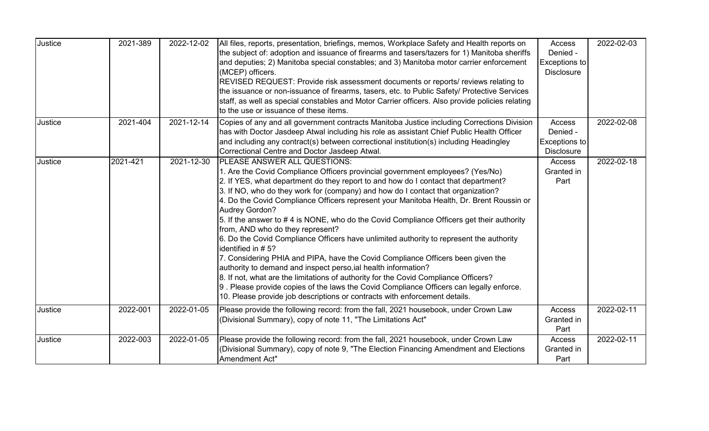| Justice | 2021-389 | 2022-12-02 | All files, reports, presentation, briefings, memos, Workplace Safety and Health reports on<br>the subject of: adoption and issuance of firearms and tasers/tazers for 1) Manitoba sheriffs<br>and deputies; 2) Manitoba special constables; and 3) Manitoba motor carrier enforcement<br>(MCEP) officers.<br>REVISED REQUEST: Provide risk assessment documents or reports/ reviews relating to<br>the issuance or non-issuance of firearms, tasers, etc. to Public Safety/ Protective Services<br>staff, as well as special constables and Motor Carrier officers. Also provide policies relating<br>to the use or issuance of these items.                                                                                                                                                                                                                                                                                                                                                                                                                                       | Access<br>Denied -<br>Exceptions to<br><b>Disclosure</b> | 2022-02-03 |
|---------|----------|------------|------------------------------------------------------------------------------------------------------------------------------------------------------------------------------------------------------------------------------------------------------------------------------------------------------------------------------------------------------------------------------------------------------------------------------------------------------------------------------------------------------------------------------------------------------------------------------------------------------------------------------------------------------------------------------------------------------------------------------------------------------------------------------------------------------------------------------------------------------------------------------------------------------------------------------------------------------------------------------------------------------------------------------------------------------------------------------------|----------------------------------------------------------|------------|
| Justice | 2021-404 | 2021-12-14 | Copies of any and all government contracts Manitoba Justice including Corrections Division<br>has with Doctor Jasdeep Atwal including his role as assistant Chief Public Health Officer<br>and including any contract(s) between correctional institution(s) including Headingley<br>Correctional Centre and Doctor Jasdeep Atwal.                                                                                                                                                                                                                                                                                                                                                                                                                                                                                                                                                                                                                                                                                                                                                 | Access<br>Denied -<br>Exceptions to<br><b>Disclosure</b> | 2022-02-08 |
| Justice | 2021-421 | 2021-12-30 | <b>PLEASE ANSWER ALL QUESTIONS:</b><br>1. Are the Covid Compliance Officers provincial government employees? (Yes/No)<br>2. If YES, what department do they report to and how do I contact that department?<br>3. If NO, who do they work for (company) and how do I contact that organization?<br>4. Do the Covid Compliance Officers represent your Manitoba Health, Dr. Brent Roussin or<br>Audrey Gordon?<br>5. If the answer to #4 is NONE, who do the Covid Compliance Officers get their authority<br>from, AND who do they represent?<br>6. Do the Covid Compliance Officers have unlimited authority to represent the authority<br>identified in #5?<br>7. Considering PHIA and PIPA, have the Covid Compliance Officers been given the<br>authority to demand and inspect perso, ial health information?<br>8. If not, what are the limitations of authority for the Covid Compliance Officers?<br>9. Please provide copies of the laws the Covid Compliance Officers can legally enforce.<br>10. Please provide job descriptions or contracts with enforcement details. | Access<br>Granted in<br>Part                             | 2022-02-18 |
| Justice | 2022-001 | 2022-01-05 | Please provide the following record: from the fall, 2021 housebook, under Crown Law<br>(Divisional Summary), copy of note 11, "The Limitations Act"                                                                                                                                                                                                                                                                                                                                                                                                                                                                                                                                                                                                                                                                                                                                                                                                                                                                                                                                | Access<br>Granted in<br>Part                             | 2022-02-11 |
| Justice | 2022-003 | 2022-01-05 | Please provide the following record: from the fall, 2021 housebook, under Crown Law<br>(Divisional Summary), copy of note 9, "The Election Financing Amendment and Elections<br>Amendment Act"                                                                                                                                                                                                                                                                                                                                                                                                                                                                                                                                                                                                                                                                                                                                                                                                                                                                                     | <b>Access</b><br>Granted in<br>Part                      | 2022-02-11 |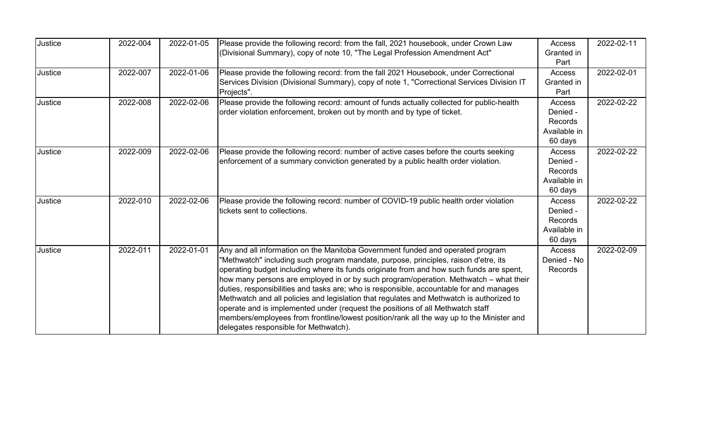| Justice | 2022-004 | 2022-01-05 | Please provide the following record: from the fall, 2021 housebook, under Crown Law<br>(Divisional Summary), copy of note 10, "The Legal Profession Amendment Act"                                                                                                                                                                                                                                                                                                                                                                                                                                                                                                                                                                                                      | Access<br>Granted in<br>Part                                    | 2022-02-11 |
|---------|----------|------------|-------------------------------------------------------------------------------------------------------------------------------------------------------------------------------------------------------------------------------------------------------------------------------------------------------------------------------------------------------------------------------------------------------------------------------------------------------------------------------------------------------------------------------------------------------------------------------------------------------------------------------------------------------------------------------------------------------------------------------------------------------------------------|-----------------------------------------------------------------|------------|
| Justice | 2022-007 | 2022-01-06 | Please provide the following record: from the fall 2021 Housebook, under Correctional<br>Services Division (Divisional Summary), copy of note 1, "Correctional Services Division IT<br>Projects".                                                                                                                                                                                                                                                                                                                                                                                                                                                                                                                                                                       | Access<br>Granted in<br>Part                                    | 2022-02-01 |
| Justice | 2022-008 | 2022-02-06 | Please provide the following record: amount of funds actually collected for public-health<br>order violation enforcement, broken out by month and by type of ticket.                                                                                                                                                                                                                                                                                                                                                                                                                                                                                                                                                                                                    | Access<br>Denied -<br><b>Records</b><br>Available in<br>60 days | 2022-02-22 |
| Justice | 2022-009 | 2022-02-06 | Please provide the following record: number of active cases before the courts seeking<br>enforcement of a summary conviction generated by a public health order violation.                                                                                                                                                                                                                                                                                                                                                                                                                                                                                                                                                                                              | Access<br>Denied -<br>Records<br>Available in<br>60 days        | 2022-02-22 |
| Justice | 2022-010 | 2022-02-06 | Please provide the following record: number of COVID-19 public health order violation<br>Itickets sent to collections.                                                                                                                                                                                                                                                                                                                                                                                                                                                                                                                                                                                                                                                  | Access<br>Denied -<br><b>Records</b><br>Available in<br>60 days | 2022-02-22 |
| Justice | 2022-011 | 2022-01-01 | Any and all information on the Manitoba Government funded and operated program<br>"Methwatch" including such program mandate, purpose, principles, raison d'etre, its<br>operating budget including where its funds originate from and how such funds are spent,<br>how many persons are employed in or by such program/operation. Methwatch – what their<br>duties, responsibilities and tasks are; who is responsible, accountable for and manages<br>Methwatch and all policies and legislation that regulates and Methwatch is authorized to<br>operate and is implemented under (request the positions of all Methwatch staff<br>members/employees from frontline/lowest position/rank all the way up to the Minister and<br>delegates responsible for Methwatch). | Access<br>Denied - No<br><b>Records</b>                         | 2022-02-09 |